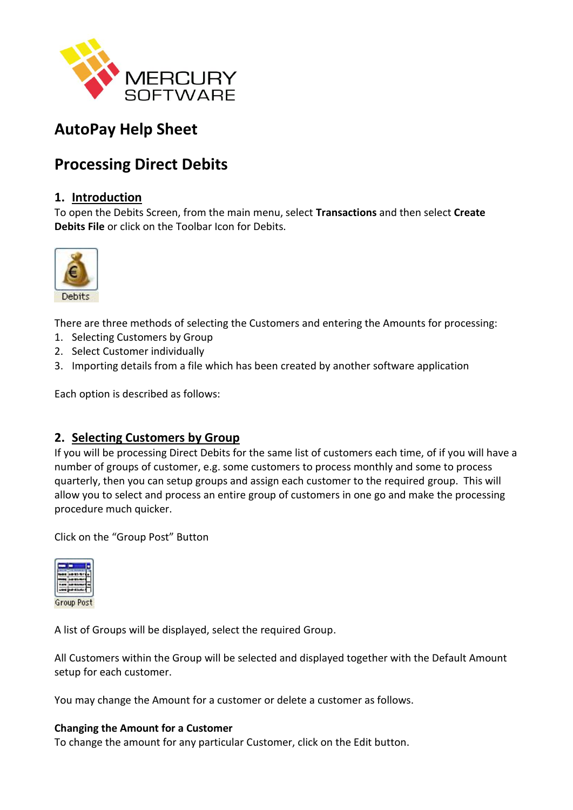

# **AutoPay Help Sheet**

# **Processing Direct Debits**

# **1. Introduction**

To open the Debits Screen, from the main menu, select **Transactions** and then select **Create Debits File** or click on the Toolbar Icon for Debits.



There are three methods of selecting the Customers and entering the Amounts for processing:

- 1. Selecting Customers by Group
- 2. Select Customer individually
- 3. Importing details from a file which has been created by another software application

Each option is described as follows:

# **2. Selecting Customers by Group**

If you will be processing Direct Debits for the same list of customers each time, of if you will have a number of groups of customer, e.g. some customers to process monthly and some to process quarterly, then you can setup groups and assign each customer to the required group. This will allow you to select and process an entire group of customers in one go and make the processing procedure much quicker.

Click on the "Group Post" Button



A list of Groups will be displayed, select the required Group.

All Customers within the Group will be selected and displayed together with the Default Amount setup for each customer.

You may change the Amount for a customer or delete a customer as follows.

## **Changing the Amount for a Customer**

To change the amount for any particular Customer, click on the Edit button.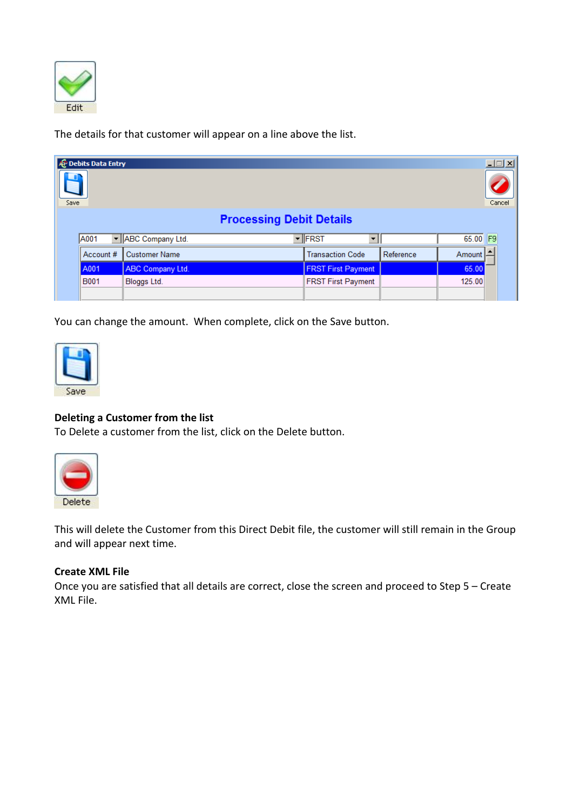

The details for that customer will appear on a line above the list.

| <b>E</b> Debits Data Entry<br><u> 디디지</u><br>Cancel<br>Save |             |                         |                                    |           |          |  |
|-------------------------------------------------------------|-------------|-------------------------|------------------------------------|-----------|----------|--|
| <b>Processing Debit Details</b>                             |             |                         |                                    |           |          |  |
|                                                             | A001        | - ABC Company Ltd.      | ▼ FRST<br>$\overline{\phantom{a}}$ |           | 65.00 F9 |  |
|                                                             | Account #   | <b>Customer Name</b>    | <b>Transaction Code</b>            | Reference | Amount   |  |
|                                                             | A001        | <b>ABC Company Ltd.</b> | <b>FRST First Payment</b>          |           | 65.00    |  |
|                                                             | <b>B001</b> | Bloggs Ltd.             | <b>FRST First Payment</b>          |           | 125.00   |  |
|                                                             |             |                         |                                    |           |          |  |

You can change the amount. When complete, click on the Save button.



## **Deleting a Customer from the list**

To Delete a customer from the list, click on the Delete button.



This will delete the Customer from this Direct Debit file, the customer will still remain in the Group and will appear next time.

#### **Create XML File**

Once you are satisfied that all details are correct, close the screen and proceed to Step 5 – Create XML File.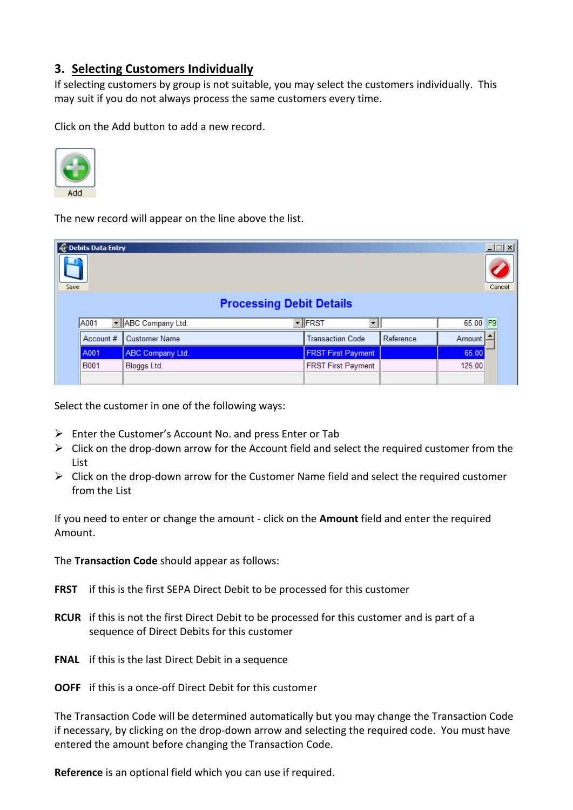# **3. Selecting Customers Individually**

If selecting customers by group is not suitable, you may select the customers individually. This may suit if you do not always process the same customers every time.

Click on the Add button to add a new record.



The new record will appear on the line above the list.

| <b>&amp; Debits Data Entry</b><br>$\Box$ o $\boxtimes$<br>Cancel<br>Save<br><b>Processing Debit Details</b> |             |                         |                           |           |        |                |
|-------------------------------------------------------------------------------------------------------------|-------------|-------------------------|---------------------------|-----------|--------|----------------|
|                                                                                                             | A001        | - ABC Company Ltd.      | $\blacktriangledown$ FRST |           | 65.00  | F <sub>9</sub> |
|                                                                                                             | Account #   | <b>Customer Name</b>    | <b>Transaction Code</b>   | Reference | Amount |                |
|                                                                                                             | A001        | <b>ABC Company Ltd.</b> | <b>FRST First Payment</b> |           | 65.00  |                |
|                                                                                                             | <b>B001</b> | Bloggs Ltd.             | <b>FRST First Payment</b> |           | 125.00 |                |
|                                                                                                             |             |                         |                           |           |        |                |

Select the customer in one of the following ways:

- $\triangleright$  Enter the Customer's Account No. and press Enter or Tab
- $\triangleright$  Click on the drop-down arrow for the Account field and select the required customer from the List
- $\triangleright$  Click on the drop-down arrow for the Customer Name field and select the required customer from the List

If you need to enter or change the amount - click on the **Amount** field and enter the required Amount.

The **Transaction Code** should appear as follows:

- **FRST** if this is the first SEPA Direct Debit to be processed for this customer
- **RCUR** if this is not the first Direct Debit to be processed for this customer and is part of a sequence of Direct Debits for this customer
- **FNAL** if this is the last Direct Debit in a sequence
- **OOFF** if this is a once-off Direct Debit for this customer

The Transaction Code will be determined automatically but you may change the Transaction Code if necessary, by clicking on the drop-down arrow and selecting the required code. You must have entered the amount before changing the Transaction Code.

**Reference** is an optional field which you can use if required.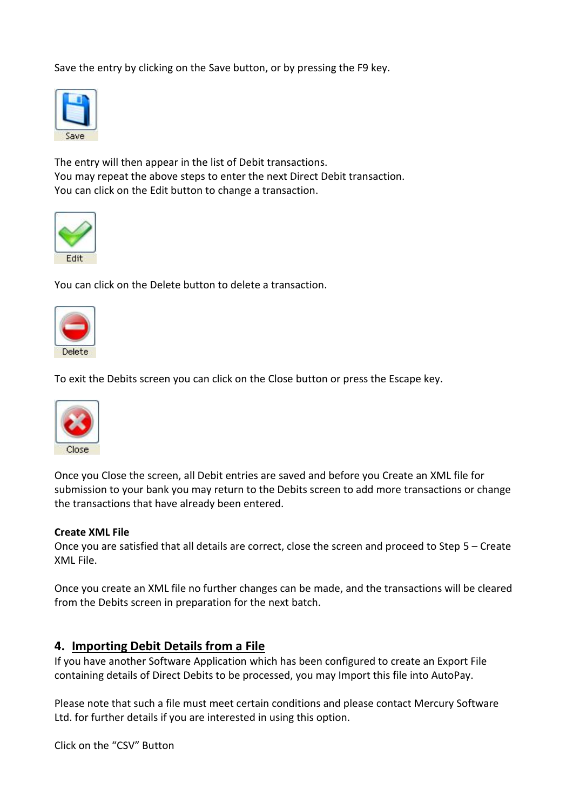Save the entry by clicking on the Save button, or by pressing the F9 key.



The entry will then appear in the list of Debit transactions. You may repeat the above steps to enter the next Direct Debit transaction. You can click on the Edit button to change a transaction.



You can click on the Delete button to delete a transaction.



To exit the Debits screen you can click on the Close button or press the Escape key.



Once you Close the screen, all Debit entries are saved and before you Create an XML file for submission to your bank you may return to the Debits screen to add more transactions or change the transactions that have already been entered.

#### **Create XML File**

Once you are satisfied that all details are correct, close the screen and proceed to Step 5 – Create XML File.

Once you create an XML file no further changes can be made, and the transactions will be cleared from the Debits screen in preparation for the next batch.

## **4. Importing Debit Details from a File**

If you have another Software Application which has been configured to create an Export File containing details of Direct Debits to be processed, you may Import this file into AutoPay.

Please note that such a file must meet certain conditions and please contact Mercury Software Ltd. for further details if you are interested in using this option.

Click on the "CSV" Button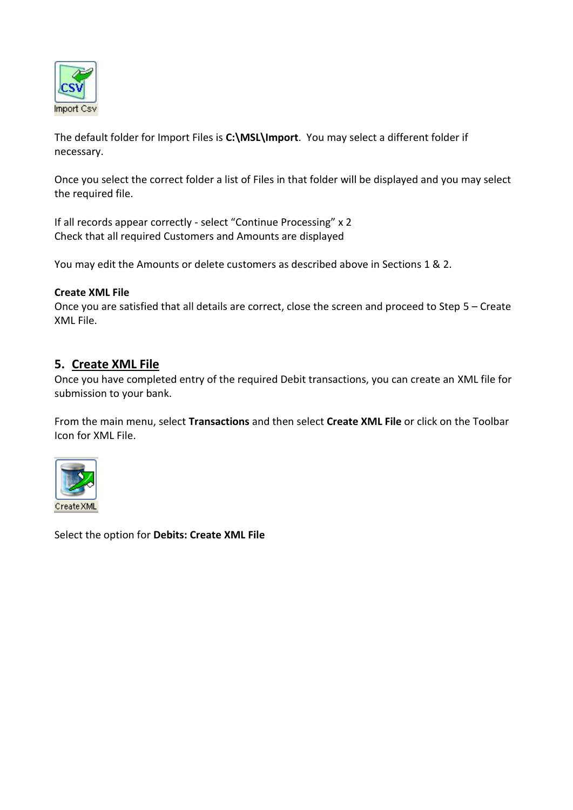

The default folder for Import Files is **C:\MSL\Import**. You may select a different folder if necessary.

Once you select the correct folder a list of Files in that folder will be displayed and you may select the required file.

If all records appear correctly - select "Continue Processing" x 2 Check that all required Customers and Amounts are displayed

You may edit the Amounts or delete customers as described above in Sections 1 & 2.

#### **Create XML File**

Once you are satisfied that all details are correct, close the screen and proceed to Step 5 – Create XML File.

# **5. Create XML File**

Once you have completed entry of the required Debit transactions, you can create an XML file for submission to your bank.

From the main menu, select **Transactions** and then select **Create XML File** or click on the Toolbar Icon for XML File.



Select the option for **Debits: Create XML File**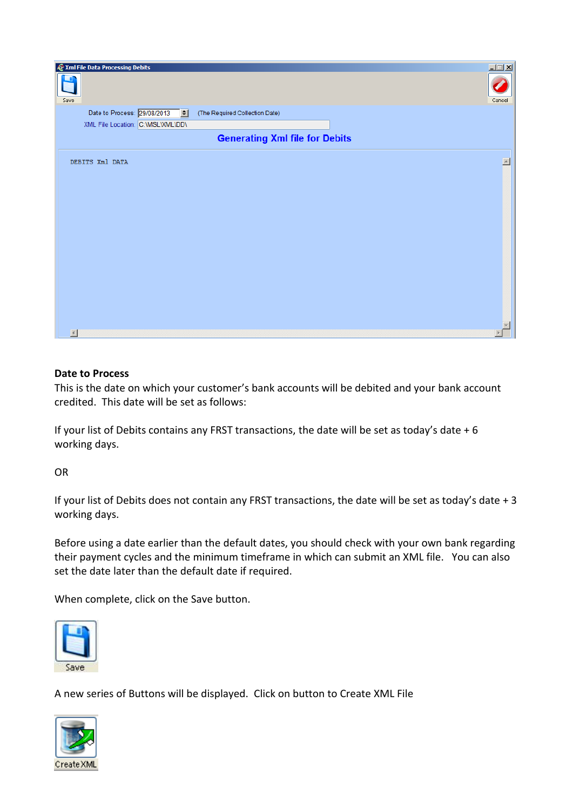

#### **Date to Process**

This is the date on which your customer's bank accounts will be debited and your bank account credited. This date will be set as follows:

If your list of Debits contains any FRST transactions, the date will be set as today's date  $+6$ working days.

OR

If your list of Debits does not contain any FRST transactions, the date will be set as today's date + 3 working days.

Before using a date earlier than the default dates, you should check with your own bank regarding their payment cycles and the minimum timeframe in which can submit an XML file. You can also set the date later than the default date if required.

When complete, click on the Save button.



A new series of Buttons will be displayed. Click on button to Create XML File

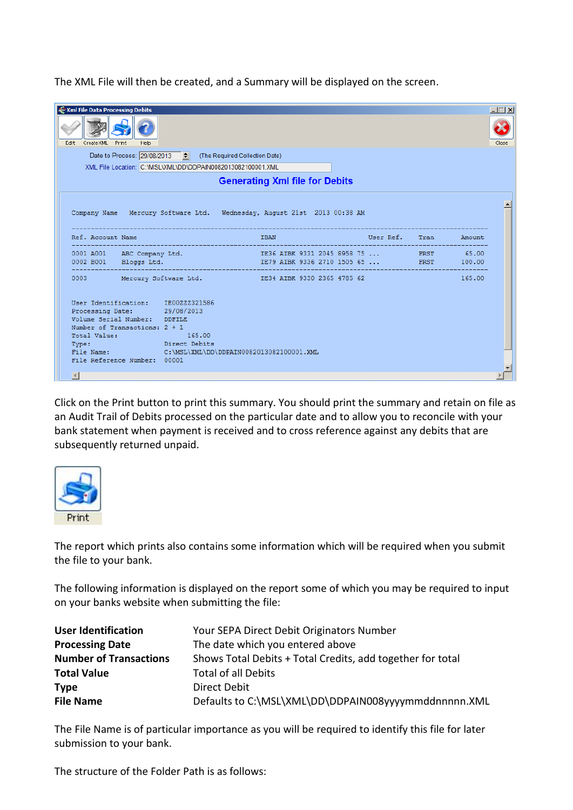The XML File will then be created, and a Summary will be displayed on the screen.

| <b>AP</b> Xml File Data Processing Debits |                                                                         |                                                                         |                       |  |        | $\Box$ $\Box$ $\times$ |
|-------------------------------------------|-------------------------------------------------------------------------|-------------------------------------------------------------------------|-----------------------|--|--------|------------------------|
| Edit<br>CreateXML Print<br>Help           |                                                                         |                                                                         |                       |  |        |                        |
|                                           | Date to Process: 29/08/2013 $\leftarrow$ (The Required Collection Date) |                                                                         |                       |  |        |                        |
|                                           | XML File Location: C:\MSL\XML\DD\DDPAIN0082013082100001.XML             |                                                                         |                       |  |        |                        |
| <b>Generating Xml file for Debits</b>     |                                                                         |                                                                         |                       |  |        |                        |
|                                           |                                                                         | Company Name Mercury Software Ltd. Wednesday, August 21st 2013 00:38 AM |                       |  |        |                        |
| Ref. Account Name                         |                                                                         | <b>IBAN</b>                                                             | User Ref. Tran Amount |  |        |                        |
|                                           |                                                                         | 0001 A001 ABC Company Ltd. 1836 AIBK 9331 2045 8958 75  185.00          |                       |  |        |                        |
| 0002 B001 Bloggs Ltd.                     |                                                                         | IE79 AIBK 9336 2710 1505 65  FRST 100.00                                |                       |  |        |                        |
|                                           |                                                                         | 0003 Mercury Software Ltd. 1E34 AIBK 9330 2365 4785 62                  |                       |  | 165.00 |                        |

Click on the Print button to print this summary. You should print the summary and retain on file as an Audit Trail of Debits processed on the particular date and to allow you to reconcile with your bank statement when payment is received and to cross reference against any debits that are subsequently returned unpaid.



The report which prints also contains some information which will be required when you submit the file to your bank.

The following information is displayed on the report some of which you may be required to input on your banks website when submitting the file:

| <b>User Identification</b>    | Your SEPA Direct Debit Originators Number                  |
|-------------------------------|------------------------------------------------------------|
| <b>Processing Date</b>        | The date which you entered above                           |
| <b>Number of Transactions</b> | Shows Total Debits + Total Credits, add together for total |
| <b>Total Value</b>            | <b>Total of all Debits</b>                                 |
| <b>Type</b>                   | Direct Debit                                               |
| <b>File Name</b>              | Defaults to C:\MSL\XML\DD\DDPAIN008yyyymmddnnnnn.XML       |

The File Name is of particular importance as you will be required to identify this file for later submission to your bank.

The structure of the Folder Path is as follows: